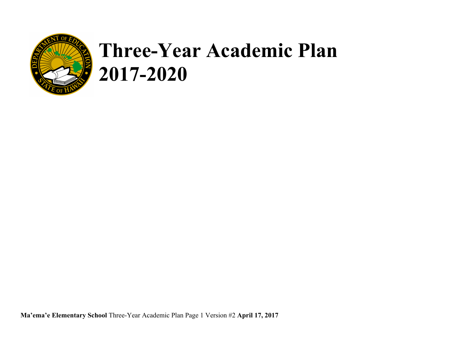

# **Three-Year Academic Plan 2017-2020**

**Ma'ema'e Elementary School** Three-Year Academic Plan Page 1 Version #2 **April 17, 2017**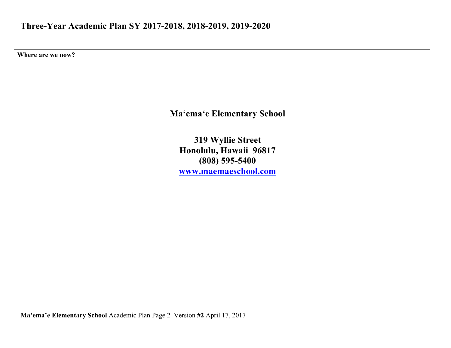**Where are we now?** 

**Ma'ema'e Elementary School**

**319 Wyllie Street Honolulu, Hawaii 96817 (808) 595-5400 www.maemaeschool.com**

**Ma'ema'e Elementary School** Academic Plan Page 2 Version **#2** April 17, 2017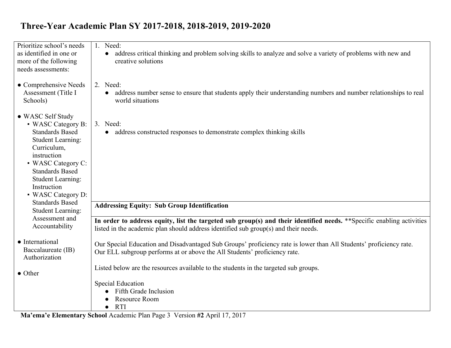| Prioritize school's needs               | 1. Need:                                                                                                                            |
|-----------------------------------------|-------------------------------------------------------------------------------------------------------------------------------------|
| as identified in one or                 | • address critical thinking and problem solving skills to analyze and solve a variety of problems with new and                      |
| more of the following                   | creative solutions                                                                                                                  |
| needs assessments:                      |                                                                                                                                     |
|                                         |                                                                                                                                     |
| • Comprehensive Needs                   | 2. Need:                                                                                                                            |
| Assessment (Title I<br>Schools)         | address number sense to ensure that students apply their understanding numbers and number relationships to real<br>world situations |
|                                         |                                                                                                                                     |
| • WASC Self Study                       |                                                                                                                                     |
| • WASC Category B:                      | 3. Need:                                                                                                                            |
| <b>Standards Based</b>                  | address constructed responses to demonstrate complex thinking skills                                                                |
| <b>Student Learning:</b>                |                                                                                                                                     |
| Curriculum,                             |                                                                                                                                     |
| instruction                             |                                                                                                                                     |
| • WASC Category C:                      |                                                                                                                                     |
| <b>Standards Based</b>                  |                                                                                                                                     |
| <b>Student Learning:</b><br>Instruction |                                                                                                                                     |
| • WASC Category D:                      |                                                                                                                                     |
| <b>Standards Based</b>                  | <b>Addressing Equity: Sub Group Identification</b>                                                                                  |
| <b>Student Learning:</b>                |                                                                                                                                     |
| Assessment and                          | In order to address equity, list the targeted sub group(s) and their identified needs. **Specific enabling activities               |
| Accountability                          | listed in the academic plan should address identified sub group(s) and their needs.                                                 |
|                                         |                                                                                                                                     |
| • International                         | Our Special Education and Disadvantaged Sub Groups' proficiency rate is lower than All Students' proficiency rate.                  |
| Baccalaureate (IB)<br>Authorization     | Our ELL subgroup performs at or above the All Students' proficiency rate.                                                           |
|                                         |                                                                                                                                     |
| $\bullet$ Other                         | Listed below are the resources available to the students in the targeted sub groups.                                                |
|                                         | <b>Special Education</b>                                                                                                            |
|                                         | <b>Fifth Grade Inclusion</b>                                                                                                        |
|                                         | Resource Room                                                                                                                       |
|                                         | <b>RTI</b>                                                                                                                          |

**Ma'ema'e Elementary School** Academic Plan Page 3 Version **#2** April 17, 2017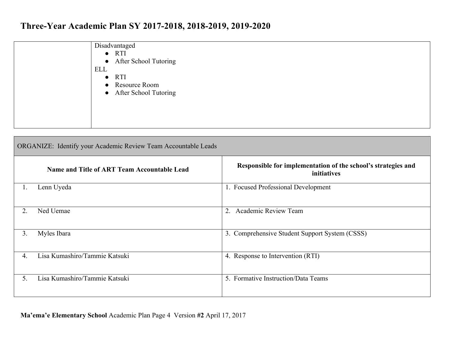| Disadvantaged           |
|-------------------------|
| $\bullet$ RTI           |
| • After School Tutoring |
| ELL                     |
| $\bullet$ RTI           |
| • Resource Room         |
| • After School Tutoring |
|                         |
|                         |
|                         |
|                         |

|                  | <b>ORGANIZE:</b> Identify your Academic Review Team Accountable Leads |                                                                              |  |  |  |  |  |
|------------------|-----------------------------------------------------------------------|------------------------------------------------------------------------------|--|--|--|--|--|
|                  | Name and Title of ART Team Accountable Lead                           | Responsible for implementation of the school's strategies and<br>initiatives |  |  |  |  |  |
| Ι.               | Lenn Uyeda                                                            | 1. Focused Professional Development                                          |  |  |  |  |  |
| $\overline{2}$ . | Ned Uemae                                                             | <b>Academic Review Team</b><br>$\overline{2}$ .                              |  |  |  |  |  |
| 3.               | Myles Ibara                                                           | 3. Comprehensive Student Support System (CSSS)                               |  |  |  |  |  |
| 4.               | Lisa Kumashiro/Tammie Katsuki                                         | 4. Response to Intervention (RTI)                                            |  |  |  |  |  |
| 5.               | Lisa Kumashiro/Tammie Katsuki                                         | 5. Formative Instruction/Data Teams                                          |  |  |  |  |  |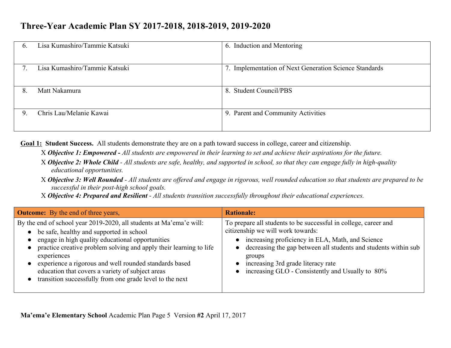| $\mathfrak{b}$ . | Lisa Kumashiro/Tammie Katsuki | 6. Induction and Mentoring                             |
|------------------|-------------------------------|--------------------------------------------------------|
|                  | Lisa Kumashiro/Tammie Katsuki | 7. Implementation of Next Generation Science Standards |
| 8.               | Matt Nakamura                 | 8. Student Council/PBS                                 |
| 9.               | Chris Lau/Melanie Kawai       | 9. Parent and Community Activities                     |

**Goal 1: Student Success.** All students demonstrate they are on a path toward success in college, career and citizenship.

X *Objective 1: Empowered - All students are empowered in their learning to set and achieve their aspirations for the future.*

X *Objective 2: Whole Child - All students are safe, healthy, and supported in school, so that they can engage fully in high-quality educational opportunities.*

X *Objective 3: Well Rounded - All students are offered and engage in rigorous, well rounded education so that students are prepared to be successful in their post-high school goals.*

X *Objective 4: Prepared and Resilient - All students transition successfully throughout their educational experiences.*

| <b>Outcome:</b> By the end of three years,                                                                                                                                                                                                                                                                                                                                                                                         | <b>Rationale:</b>                                                                                                                                                                                                                                                                                                                 |
|------------------------------------------------------------------------------------------------------------------------------------------------------------------------------------------------------------------------------------------------------------------------------------------------------------------------------------------------------------------------------------------------------------------------------------|-----------------------------------------------------------------------------------------------------------------------------------------------------------------------------------------------------------------------------------------------------------------------------------------------------------------------------------|
| By the end of school year 2019-2020, all students at Ma'ema'e will:<br>be safe, healthy and supported in school<br>engage in high quality educational opportunities<br>practice creative problem solving and apply their learning to life<br>experiences<br>experience a rigorous and well rounded standards based<br>education that covers a variety of subject areas<br>transition successfully from one grade level to the next | To prepare all students to be successful in college, career and<br>citizenship we will work towards:<br>increasing proficiency in ELA, Math, and Science<br>• decreasing the gap between all students and students within sub<br>groups<br>increasing 3rd grade literacy rate<br>increasing GLO - Consistently and Usually to 80% |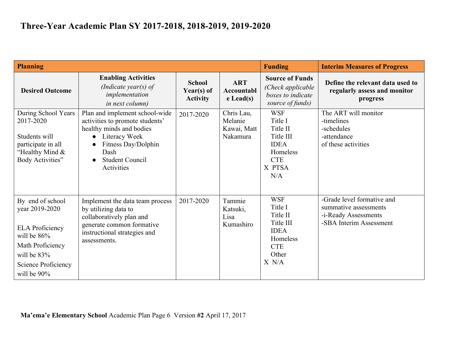| <b>Planning</b>                                                                                                                                           |                                                                                                                                                                                                                 |                                                |                                                  | <b>Funding</b>                                                                                            | <b>Interim Measures of Progress</b>                                                                    |
|-----------------------------------------------------------------------------------------------------------------------------------------------------------|-----------------------------------------------------------------------------------------------------------------------------------------------------------------------------------------------------------------|------------------------------------------------|--------------------------------------------------|-----------------------------------------------------------------------------------------------------------|--------------------------------------------------------------------------------------------------------|
| <b>Desired Outcome</b>                                                                                                                                    | <b>Enabling Activities</b><br>(Indicate year(s) of<br>implementation<br><i>in next column)</i>                                                                                                                  | <b>School</b><br>Year(s) of<br><b>Activity</b> | <b>ART</b><br>Accountabl<br>$e$ Lead(s)          | <b>Source of Funds</b><br>(Check applicable)<br>boxes to indicate<br>source of funds)                     | Define the relevant data used to<br>regularly assess and monitor<br>progress                           |
| During School Years<br>2017-2020<br>Students will<br>participate in all<br>"Healthy Mind &<br>Body Activities"                                            | Plan and implement school-wide<br>activities to promote students'<br>healthy minds and bodies<br>Literacy Week<br>$\bullet$<br>Fitness Day/Dolphin<br>$\bullet$<br>Dash<br><b>Student Council</b><br>Activities | 2017-2020                                      | Chris Lau,<br>Melanie<br>Kawai, Matt<br>Nakamura | <b>WSF</b><br>Title I<br>Title II<br>Title III<br><b>IDEA</b><br>Homeless<br><b>CTE</b><br>X PTSA<br>N/A  | The ART will monitor<br>-timelines<br>-schedules<br>-attendance<br>of these activities                 |
| By end of school<br>year 2019-2020<br><b>ELA Proficiency</b><br>will be $86%$<br>Math Proficiency<br>will be $83\%$<br>Science Proficiency<br>will be 90% | Implement the data team process<br>by utilizing data to<br>collaboratively plan and<br>generate common formative<br>instructional strategies and<br>assessments.                                                | 2017-2020                                      | Tammie<br>Katsuki,<br>Lisa<br>Kumashiro          | <b>WSF</b><br>Title I<br>Title II<br>Title III<br><b>IDEA</b><br>Homeless<br><b>CTE</b><br>Other<br>X N/A | -Grade level formative and<br>summative assessments<br>-i-Ready Assessments<br>-SBA Interim Assessment |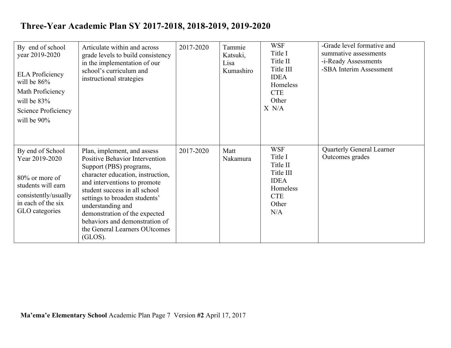| By end of school<br>year 2019-2020<br><b>ELA</b> Proficiency<br>will be $86\%$<br>Math Proficiency<br>will be $83\%$<br>Science Proficiency<br>will be 90% | Articulate within and across<br>grade levels to build consistency<br>in the implementation of our<br>school's curriculum and<br>instructional strategies                                                                                                                                                                                                                   | 2017-2020 | Tammie<br>Katsuki,<br>Lisa<br>Kumashiro | <b>WSF</b><br>Title I<br>Title II<br>Title III<br><b>IDEA</b><br>Homeless<br><b>CTE</b><br>Other<br>X N/A | -Grade level formative and<br>summative assessments<br>-i-Ready Assessments<br>-SBA Interim Assessment |
|------------------------------------------------------------------------------------------------------------------------------------------------------------|----------------------------------------------------------------------------------------------------------------------------------------------------------------------------------------------------------------------------------------------------------------------------------------------------------------------------------------------------------------------------|-----------|-----------------------------------------|-----------------------------------------------------------------------------------------------------------|--------------------------------------------------------------------------------------------------------|
| By end of School<br>Year 2019-2020<br>$80\%$ or more of<br>students will earn<br>consistently/usually<br>in each of the six<br>GLO categories              | Plan, implement, and assess<br><b>Positive Behavior Intervention</b><br>Support (PBS) programs,<br>character education, instruction,<br>and interventions to promote<br>student success in all school<br>settings to broaden students'<br>understanding and<br>demonstration of the expected<br>behaviors and demonstration of<br>the General Learners OUtcomes<br>(GLOS). | 2017-2020 | Matt<br>Nakamura                        | <b>WSF</b><br>Title I<br>Title II<br>Title III<br><b>IDEA</b><br>Homeless<br><b>CTE</b><br>Other<br>N/A   | <b>Quarterly General Learner</b><br>Outcomes grades                                                    |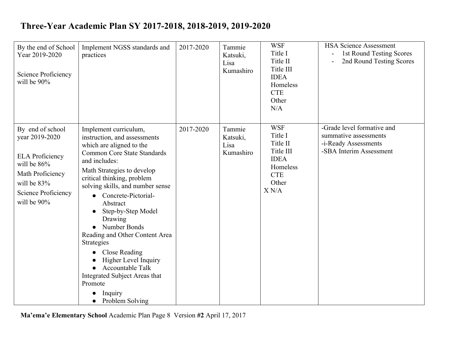| By the end of School<br>Year 2019-2020<br>Science Proficiency<br>will be 90%                                                                         | Implement NGSS standards and<br>practices                                                                                                                                                                                                                                                                                                                                                                                                                                                                                                                                       | 2017-2020 | Tammie<br>Katsuki,<br>Lisa<br>Kumashiro | <b>WSF</b><br>Title I<br>Title II<br>Title III<br><b>IDEA</b><br>Homeless<br><b>CTE</b><br>Other<br>N/A   | <b>HSA Science Assessment</b><br>1st Round Testing Scores<br>2nd Round Testing Scores                  |
|------------------------------------------------------------------------------------------------------------------------------------------------------|---------------------------------------------------------------------------------------------------------------------------------------------------------------------------------------------------------------------------------------------------------------------------------------------------------------------------------------------------------------------------------------------------------------------------------------------------------------------------------------------------------------------------------------------------------------------------------|-----------|-----------------------------------------|-----------------------------------------------------------------------------------------------------------|--------------------------------------------------------------------------------------------------------|
| By end of school<br>year 2019-2020<br><b>ELA</b> Proficiency<br>will be 86%<br>Math Proficiency<br>will be 83%<br>Science Proficiency<br>will be 90% | Implement curriculum,<br>instruction, and assessments<br>which are aligned to the<br><b>Common Core State Standards</b><br>and includes:<br>Math Strategies to develop<br>critical thinking, problem<br>solving skills, and number sense<br>Concrete-Pictorial-<br>$\bullet$<br>Abstract<br>Step-by-Step Model<br>Drawing<br>Number Bonds<br>$\bullet$<br>Reading and Other Content Area<br>Strategies<br><b>Close Reading</b><br>$\bullet$<br><b>Higher Level Inquiry</b><br><b>Accountable Talk</b><br>Integrated Subject Areas that<br>Promote<br>Inquiry<br>Problem Solving | 2017-2020 | Tammie<br>Katsuki,<br>Lisa<br>Kumashiro | <b>WSF</b><br>Title I<br>Title II<br>Title III<br><b>IDEA</b><br>Homeless<br><b>CTE</b><br>Other<br>X N/A | -Grade level formative and<br>summative assessments<br>-i-Ready Assessments<br>-SBA Interim Assessment |

**Ma'ema'e Elementary School** Academic Plan Page 8 Version **#2** April 17, 2017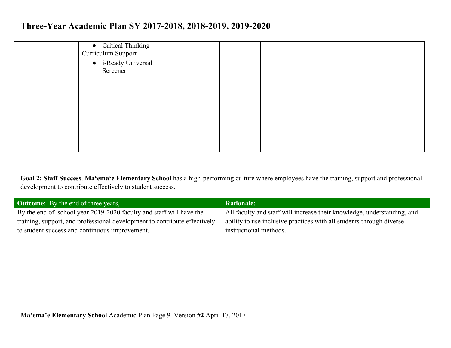| • Critical Thinking<br>Curriculum Support |  |  |  |
|-------------------------------------------|--|--|--|
| • i-Ready Universal<br>Screener           |  |  |  |
|                                           |  |  |  |
|                                           |  |  |  |
|                                           |  |  |  |
|                                           |  |  |  |

**Goal 2: Staff Success**. **Ma'ema'e Elementary School** has a high-performing culture where employees have the training, support and professional development to contribute effectively to student success.

| <b>Outcome:</b> By the end of three years,                                | <b>Rationale:</b>                                                       |
|---------------------------------------------------------------------------|-------------------------------------------------------------------------|
| By the end of school year 2019-2020 faculty and staff will have the       | All faculty and staff will increase their knowledge, understanding, and |
| training, support, and professional development to contribute effectively | ability to use inclusive practices with all students through diverse    |
| to student success and continuous improvement.                            | instructional methods.                                                  |
|                                                                           |                                                                         |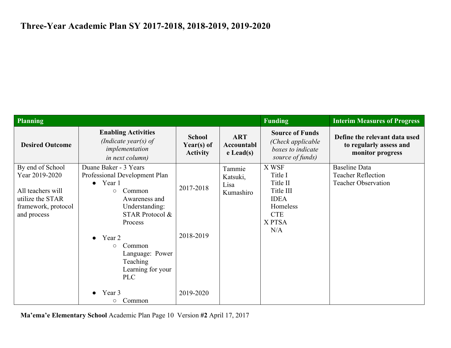| <b>Planning</b>                                                                                                   |                                                                                                                                                                                                                                 |                                                |                                         | <b>Funding</b>                                                                                      | <b>Interim Measures of Progress</b>                                             |
|-------------------------------------------------------------------------------------------------------------------|---------------------------------------------------------------------------------------------------------------------------------------------------------------------------------------------------------------------------------|------------------------------------------------|-----------------------------------------|-----------------------------------------------------------------------------------------------------|---------------------------------------------------------------------------------|
| <b>Desired Outcome</b>                                                                                            | <b>Enabling Activities</b><br>(Indicate year(s) of<br>implementation<br><i>in next column)</i>                                                                                                                                  | <b>School</b><br>Year(s) of<br><b>Activity</b> | <b>ART</b><br>Accountabl<br>$e$ Lead(s) | <b>Source of Funds</b><br>(Check applicable<br>boxes to indicate<br>source of funds)                | Define the relevant data used<br>to regularly assess and<br>monitor progress    |
| By end of School<br>Year 2019-2020<br>All teachers will<br>utilize the STAR<br>framework, protocol<br>and process | Duane Baker - 3 Years<br>Professional Development Plan<br>$\bullet$ Year 1<br>Common<br>$\circ$<br>Awareness and<br>Understanding:<br>STAR Protocol &<br>Process<br>Year 2<br>$\bullet$<br>Common<br>$\circ$<br>Language: Power | 2017-2018<br>2018-2019                         | Tammie<br>Katsuki,<br>Lisa<br>Kumashiro | X WSF<br>Title I<br>Title II<br>Title III<br><b>IDEA</b><br>Homeless<br><b>CTE</b><br>X PTSA<br>N/A | <b>Baseline Data</b><br><b>Teacher Reflection</b><br><b>Teacher Observation</b> |
|                                                                                                                   | Teaching<br>Learning for your<br><b>PLC</b><br>Year 3<br>$\bullet$<br>Common<br>О                                                                                                                                               | 2019-2020                                      |                                         |                                                                                                     |                                                                                 |

**Ma'ema'e Elementary School** Academic Plan Page 10 Version **#2** April 17, 2017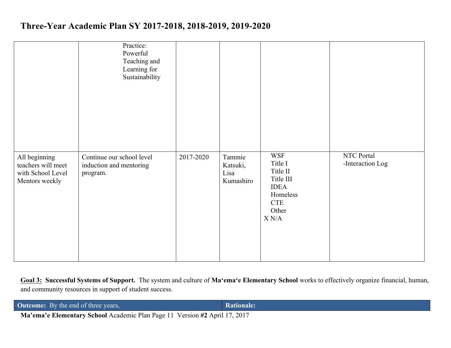|                                                                            | Practice:<br>Powerful<br>Teaching and<br>Learning for<br>Sustainability |           |                                         |                                                                                                                                             |                                |
|----------------------------------------------------------------------------|-------------------------------------------------------------------------|-----------|-----------------------------------------|---------------------------------------------------------------------------------------------------------------------------------------------|--------------------------------|
| All beginning<br>teachers will meet<br>with School Level<br>Mentors weekly | Continue our school level<br>induction and mentoring<br>program.        | 2017-2020 | Tammie<br>Katsuki,<br>Lisa<br>Kumashiro | <b>WSF</b><br>Title I<br>Title II<br>Title III<br><b>IDEA</b><br>Homeless<br><b>CTE</b><br>Other<br>$\mathbf{X} \; \mathbf{N} / \mathbf{A}$ | NTC Portal<br>-Interaction Log |

**Goal 3: Successful Systems of Support.** The system and culture of **Ma'ema'e Elementary School** works to effectively organize financial, human, and community resources in support of student success.

| <b>Outcome:</b> By the end of three years, |   |  |  |  |  |  | Rationale: |
|--------------------------------------------|---|--|--|--|--|--|------------|
|                                            | . |  |  |  |  |  |            |

**Ma'ema'e Elementary School** Academic Plan Page 11 Version **#2** April 17, 2017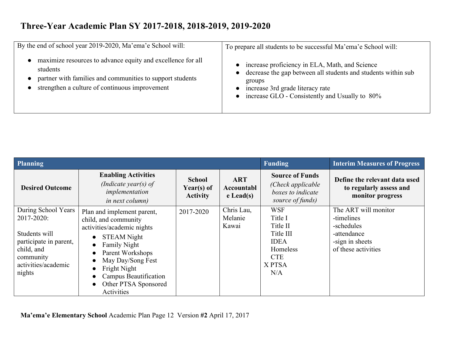| By the end of school year 2019-2020, Ma'ema'e School will:                                                                                                                             | To prepare all students to be successful Ma'ema'e School will:                                                                                                                                                   |
|----------------------------------------------------------------------------------------------------------------------------------------------------------------------------------------|------------------------------------------------------------------------------------------------------------------------------------------------------------------------------------------------------------------|
| maximize resources to advance equity and excellence for all<br>students<br>partner with families and communities to support students<br>strengthen a culture of continuous improvement | increase proficiency in ELA, Math, and Science<br>decrease the gap between all students and students within sub-<br>groups<br>increase 3rd grade literacy rate<br>increase GLO - Consistently and Usually to 80% |

| Planning                                                                                                                                 |                                                                                                                                                                                                                                                                                                                                                  | <b>Funding</b>                                 | <b>Interim Measures of Progress</b>     |                                                                                                          |                                                                                                           |
|------------------------------------------------------------------------------------------------------------------------------------------|--------------------------------------------------------------------------------------------------------------------------------------------------------------------------------------------------------------------------------------------------------------------------------------------------------------------------------------------------|------------------------------------------------|-----------------------------------------|----------------------------------------------------------------------------------------------------------|-----------------------------------------------------------------------------------------------------------|
| <b>Desired Outcome</b>                                                                                                                   | <b>Enabling Activities</b><br>(Indicate year(s) of<br>implementation<br><i>in next column)</i>                                                                                                                                                                                                                                                   | <b>School</b><br>Year(s) of<br><b>Activity</b> | <b>ART</b><br>Accountabl<br>$e$ Lead(s) | <b>Source of Funds</b><br>(Check applicable)<br>boxes to indicate<br>source of funds)                    | Define the relevant data used<br>to regularly assess and<br>monitor progress                              |
| During School Years<br>2017-2020:<br>Students will<br>participate in parent,<br>child, and<br>community<br>activities/academic<br>nights | Plan and implement parent,<br>child, and community<br>activities/academic nights<br><b>STEAM Night</b><br>$\bullet$<br><b>Family Night</b><br>$\bullet$<br>Parent Workshops<br>$\bullet$<br>May Day/Song Fest<br>$\bullet$<br>Fright Night<br>$\bullet$<br>Campus Beautification<br>$\bullet$<br>Other PTSA Sponsored<br>$\bullet$<br>Activities | 2017-2020                                      | Chris Lau,<br>Melanie<br>Kawai          | <b>WSF</b><br>Title I<br>Title II<br>Title III<br><b>IDEA</b><br>Homeless<br><b>CTE</b><br>X PTSA<br>N/A | The ART will monitor<br>-timelines<br>-schedules<br>-attendance<br>-sign in sheets<br>of these activities |

**Ma'ema'e Elementary School** Academic Plan Page 12 Version **#2** April 17, 2017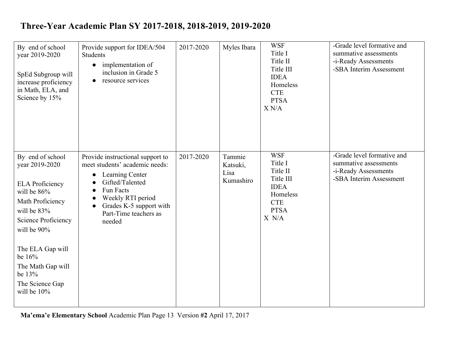| By end of school<br>year 2019-2020<br>SpEd Subgroup will<br>increase proficiency<br>in Math, ELA, and<br>Science by 15%                                                                                                                                  | Provide support for IDEA/504<br><b>Students</b><br>implementation of<br>$\bullet$<br>inclusion in Grade 5<br>resource services<br>$\bullet$                                                                                                     | 2017-2020 | Myles Ibara                             | <b>WSF</b><br>Title I<br>Title II<br>Title III<br><b>IDEA</b><br>Homeless<br><b>CTE</b><br><b>PTSA</b><br>X N/A | -Grade level formative and<br>summative assessments<br>-i-Ready Assessments<br>-SBA Interim Assessment |
|----------------------------------------------------------------------------------------------------------------------------------------------------------------------------------------------------------------------------------------------------------|-------------------------------------------------------------------------------------------------------------------------------------------------------------------------------------------------------------------------------------------------|-----------|-----------------------------------------|-----------------------------------------------------------------------------------------------------------------|--------------------------------------------------------------------------------------------------------|
| By end of school<br>year 2019-2020<br><b>ELA Proficiency</b><br>will be 86%<br>Math Proficiency<br>will be $83%$<br>Science Proficiency<br>will be 90%<br>The ELA Gap will<br>be 16%<br>The Math Gap will<br>be 13%<br>The Science Gap<br>will be $10\%$ | Provide instructional support to<br>meet students' academic needs:<br>Learning Center<br>$\bullet$<br>Gifted/Talented<br>$\bullet$<br>Fun Facts<br>$\bullet$<br>Weekly RTI period<br>Grades K-5 support with<br>Part-Time teachers as<br>needed | 2017-2020 | Tammie<br>Katsuki,<br>Lisa<br>Kumashiro | <b>WSF</b><br>Title I<br>Title II<br>Title III<br><b>IDEA</b><br>Homeless<br><b>CTE</b><br><b>PTSA</b><br>X N/A | -Grade level formative and<br>summative assessments<br>-i-Ready Assessments<br>-SBA Interim Assessment |

**Ma'ema'e Elementary School** Academic Plan Page 13 Version **#2** April 17, 2017